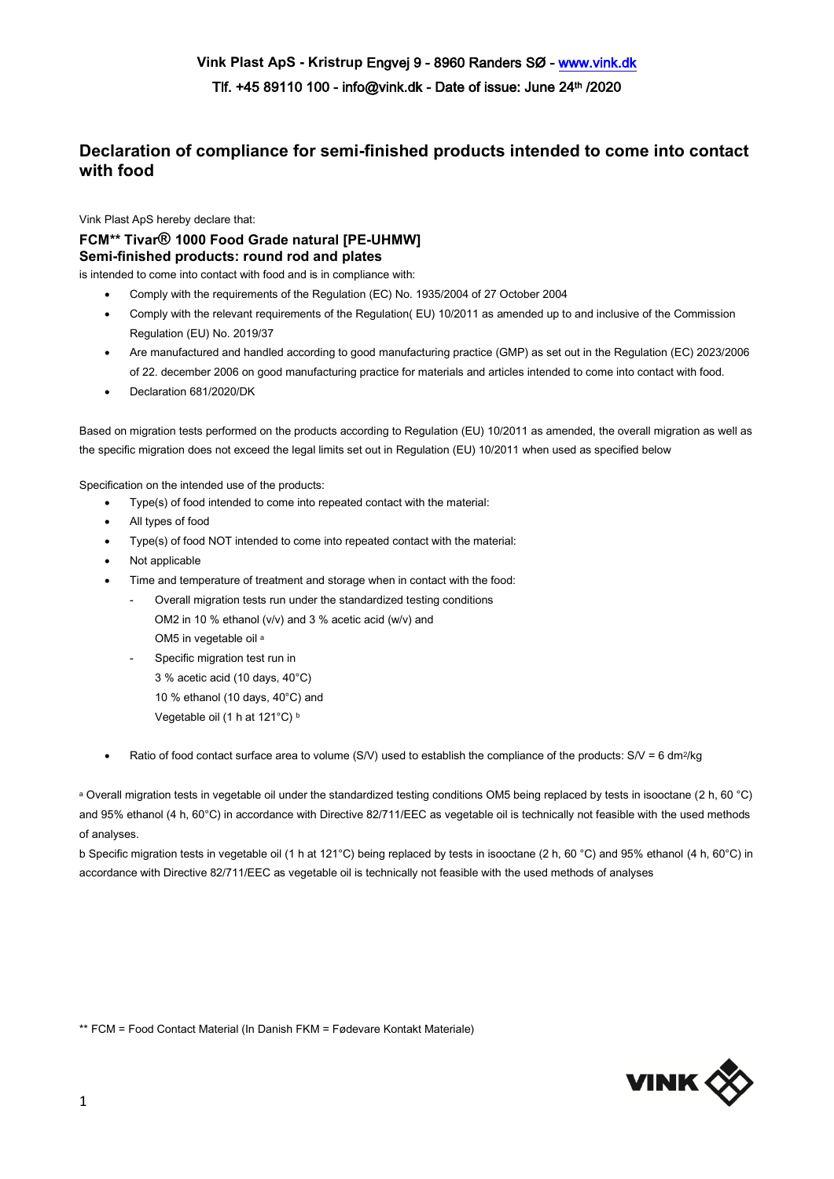## **Declaration of compliance for semi-finished products intended to come into contact with food**

Vink Plast ApS hereby declare that:

## **FCM\*\* Tivar® 1000 Food Grade natural [PE-UHMW] Semi-finished products: round rod and plates**

is intended to come into contact with food and is in compliance with:

- Comply with the requirements of the Regulation (EC) No. 1935/2004 of 27 October 2004
- Comply with the relevant requirements of the Regulation( EU) 10/2011 as amended up to and inclusive of the Commission Regulation (EU) No. 2019/37
- Are manufactured and handled according to good manufacturing practice (GMP) as set out in the Regulation (EC) 2023/2006 of 22. december 2006 on good manufacturing practice for materials and articles intended to come into contact with food.
- Declaration 681/2020/DK

Based on migration tests performed on the products according to Regulation (EU) 10/2011 as amended, the overall migration as well as the specific migration does not exceed the legal limits set out in Regulation (EU) 10/2011 when used as specified below

Specification on the intended use of the products:

- Type(s) of food intended to come into repeated contact with the material:
- All types of food
- Type(s) of food NOT intended to come into repeated contact with the material:
- Not applicable
- Time and temperature of treatment and storage when in contact with the food:
	- Overall migration tests run under the standardized testing conditions OM2 in 10 % ethanol (v/v) and 3 % acetic acid (w/v) and OM5 in vegetable oil a
	- Specific migration test run in 3 % acetic acid (10 days, 40°C) 10 % ethanol (10 days, 40°C) and Vegetable oil (1 h at 121°C) b
- Ratio of food contact surface area to volume (S/V) used to establish the compliance of the products:  $SN = 6$  dm<sup>2</sup>/kg

<sup>a</sup> Overall migration tests in vegetable oil under the standardized testing conditions OM5 being replaced by tests in isooctane (2 h, 60 °C) and 95% ethanol (4 h, 60°C) in accordance with Directive 82/711/EEC as vegetable oil is technically not feasible with the used methods of analyses.

b Specific migration tests in vegetable oil (1 h at 121°C) being replaced by tests in isooctane (2 h, 60 °C) and 95% ethanol (4 h, 60°C) in accordance with Directive 82/711/EEC as vegetable oil is technically not feasible with the used methods of analyses

\*\* FCM = Food Contact Material (In Danish FKM = Fødevare Kontakt Materiale)